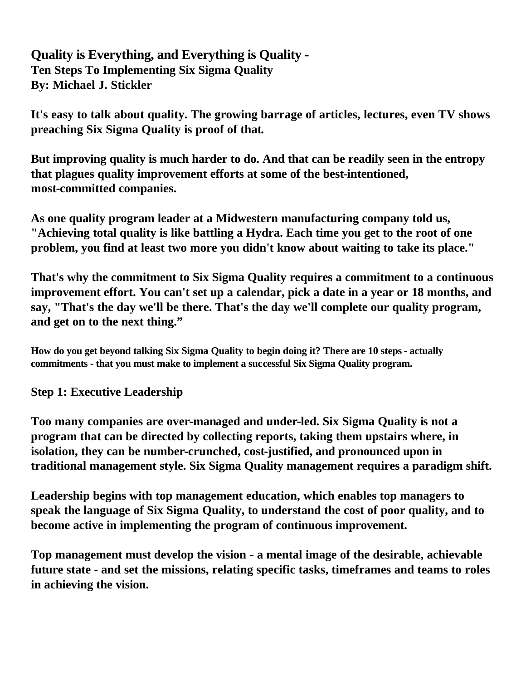**Quality is Everything, and Everything is Quality - Ten Steps To Implementing Six Sigma Quality By: Michael J. Stickler**

**It's easy to talk about quality. The growing barrage of articles, lectures, even TV shows preaching Six Sigma Quality is proof of that.**

**But improving quality is much harder to do. And that can be readily seen in the entropy that plagues quality improvement efforts at some of the best-intentioned, most-committed companies.**

**As one quality program leader at a Midwestern manufacturing company told us, "Achieving total quality is like battling a Hydra. Each time you get to the root of one problem, you find at least two more you didn't know about waiting to take its place."**

**That's why the commitment to Six Sigma Quality requires a commitment to a continuous improvement effort. You can't set up a calendar, pick a date in a year or 18 months, and say, "That's the day we'll be there. That's the day we'll complete our quality program, and get on to the next thing."**

**How do you get beyond talking Six Sigma Quality to begin doing it? There are 10 steps - actually commitments - that you must make to implement a successful Six Sigma Quality program.**

**Step 1: Executive Leadership**

**Too many companies are over-managed and under-led. Six Sigma Quality is not a program that can be directed by collecting reports, taking them upstairs where, in isolation, they can be number-crunched, cost-justified, and pronounced upon in traditional management style. Six Sigma Quality management requires a paradigm shift.**

**Leadership begins with top management education, which enables top managers to speak the language of Six Sigma Quality, to understand the cost of poor quality, and to become active in implementing the program of continuous improvement.**

**Top management must develop the vision - a mental image of the desirable, achievable future state - and set the missions, relating specific tasks, timeframes and teams to roles in achieving the vision.**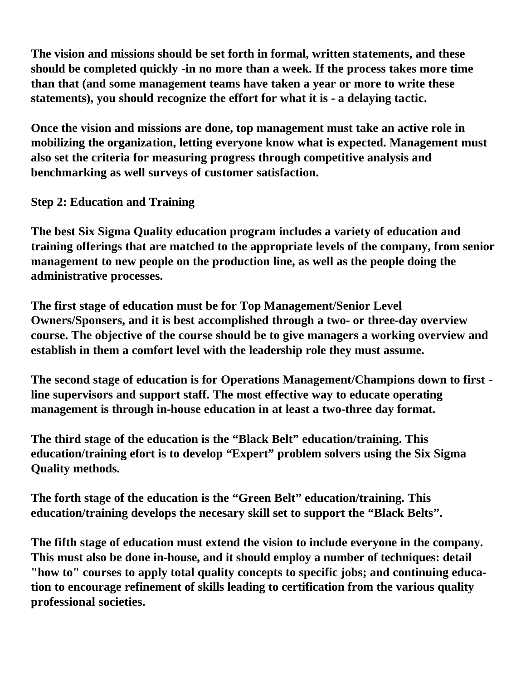**The vision and missions should be set forth in formal, written statements, and these should be completed quickly -in no more than a week. If the process takes more time than that (and some management teams have taken a year or more to write these statements), you should recognize the effort for what it is - a delaying tactic.**

**Once the vision and missions are done, top management must take an active role in mobilizing the organization, letting everyone know what is expected. Management must also set the criteria for measuring progress through competitive analysis and benchmarking as well surveys of customer satisfaction.**

**Step 2: Education and Training**

**The best Six Sigma Quality education program includes a variety of education and training offerings that are matched to the appropriate levels of the company, from senior management to new people on the production line, as well as the people doing the administrative processes.**

**The first stage of education must be for Top Management/Senior Level Owners/Sponsers, and it is best accomplished through a two- or three-day overview course. The objective of the course should be to give managers a working overview and establish in them a comfort level with the leadership role they must assume.**

**The second stage of education is for Operations Management/Champions down to first line supervisors and support staff. The most effective way to educate operating management is through in-house education in at least a two-three day format.**

**The third stage of the education is the "Black Belt" education/training. This education/training efort is to develop "Expert" problem solvers using the Six Sigma Quality methods.**

**The forth stage of the education is the "Green Belt" education/training. This education/training develops the necesary skill set to support the "Black Belts".**

**The fifth stage of education must extend the vision to include everyone in the company. This must also be done in-house, and it should employ a number of techniques: detail "how to" courses to apply total quality concepts to specific jobs; and continuing education to encourage refinement of skills leading to certification from the various quality professional societies.**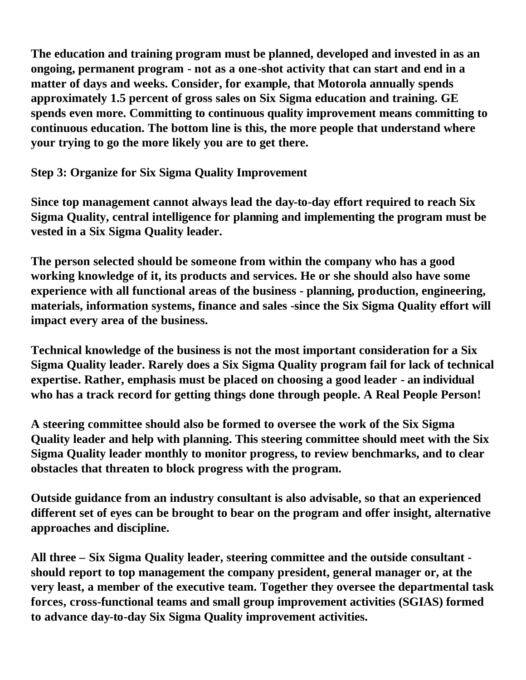**The education and training program must be planned, developed and invested in as an ongoing, permanent program - not as a one-shot activity that can start and end in a matter of days and weeks. Consider, for example, that Motorola annually spends approximately 1.5 percent of gross sales on Six Sigma education and training. GE spends even more. Committing to continuous quality improvement means committing to continuous education. The bottom line is this, the more people that understand where your trying to go the more likely you are to get there.**

**Step 3: Organize for Six Sigma Quality Improvement**

**Since top management cannot always lead the day-to-day effort required to reach Six Sigma Quality, central intelligence for planning and implementing the program must be vested in a Six Sigma Quality leader.**

**The person selected should be someone from within the company who has a good working knowledge of it, its products and services. He or she should also have some experience with all functional areas of the business - planning, production, engineering, materials, information systems, finance and sales -since the Six Sigma Quality effort will impact every area of the business.**

**Technical knowledge of the business is not the most important consideration for a Six Sigma Quality leader. Rarely does a Six Sigma Quality program fail for lack of technical expertise. Rather, emphasis must be placed on choosing a good leader - an individual who has a track record for getting things done through people. A Real People Person!**

**A steering committee should also be formed to oversee the work of the Six Sigma Quality leader and help with planning. This steering committee should meet with the Six Sigma Quality leader monthly to monitor progress, to review benchmarks, and to clear obstacles that threaten to block progress with the program.**

**Outside guidance from an industry consultant is also advisable, so that an experienced different set of eyes can be brought to bear on the program and offer insight, alternative approaches and discipline.** 

**All three – Six Sigma Quality leader, steering committee and the outside consultant should report to top management the company president, general manager or, at the very least, a member of the executive team. Together they oversee the departmental task forces, cross-functional teams and small group improvement activities (SGIAS) formed to advance day-to-day Six Sigma Quality improvement activities.**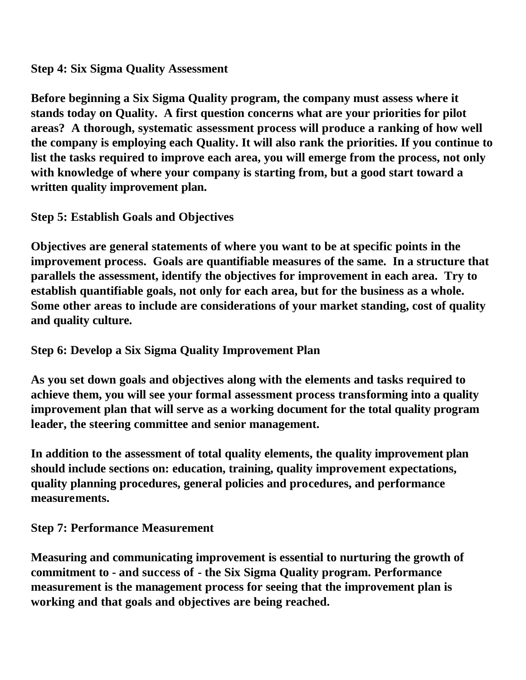**Step 4: Six Sigma Quality Assessment**

**Before beginning a Six Sigma Quality program, the company must assess where it stands today on Quality. A first question concerns what are your priorities for pilot areas? A thorough, systematic assessment process will produce a ranking of how well the company is employing each Quality. It will also rank the priorities. If you continue to list the tasks required to improve each area, you will emerge from the process, not only with knowledge of where your company is starting from, but a good start toward a written quality improvement plan.**

**Step 5: Establish Goals and Objectives**

**Objectives are general statements of where you want to be at specific points in the improvement process. Goals are quantifiable measures of the same. In a structure that parallels the assessment, identify the objectives for improvement in each area. Try to establish quantifiable goals, not only for each area, but for the business as a whole. Some other areas to include are considerations of your market standing, cost of quality and quality culture.**

**Step 6: Develop a Six Sigma Quality Improvement Plan**

**As you set down goals and objectives along with the elements and tasks required to achieve them, you will see your formal assessment process transforming into a quality improvement plan that will serve as a working document for the total quality program leader, the steering committee and senior management.**

**In addition to the assessment of total quality elements, the quality improvement plan should include sections on: education, training, quality improvement expectations, quality planning procedures, general policies and procedures, and performance measurements.**

**Step 7: Performance Measurement**

**Measuring and communicating improvement is essential to nurturing the growth of commitment to - and success of - the Six Sigma Quality program. Performance measurement is the management process for seeing that the improvement plan is working and that goals and objectives are being reached.**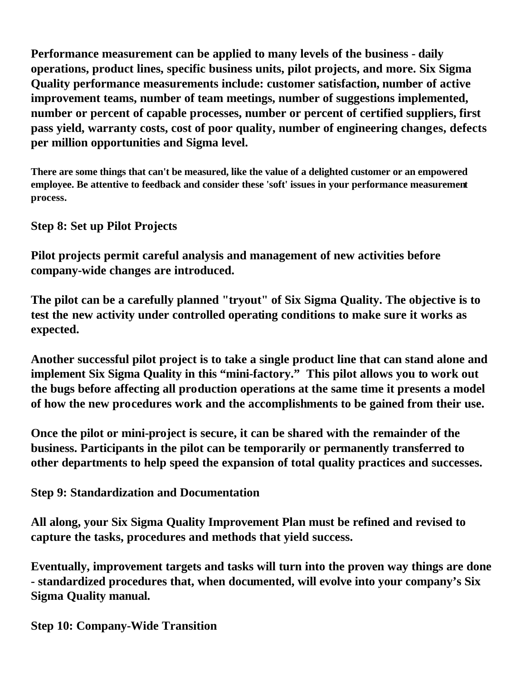**Performance measurement can be applied to many levels of the business - daily operations, product lines, specific business units, pilot projects, and more. Six Sigma Quality performance measurements include: customer satisfaction, number of active improvement teams, number of team meetings, number of suggestions implemented, number or percent of capable processes, number or percent of certified suppliers, first pass yield, warranty costs, cost of poor quality, number of engineering changes, defects per million opportunities and Sigma level.** 

**There are some things that can't be measured, like the value of a delighted customer or an empowered employee. Be attentive to feedback and consider these 'soft' issues in your performance measurement process.**

**Step 8: Set up Pilot Projects**

**Pilot projects permit careful analysis and management of new activities before company-wide changes are introduced.**

**The pilot can be a carefully planned "tryout" of Six Sigma Quality. The objective is to test the new activity under controlled operating conditions to make sure it works as expected.**

**Another successful pilot project is to take a single product line that can stand alone and implement Six Sigma Quality in this "mini-factory." This pilot allows you to work out the bugs before affecting all production operations at the same time it presents a model of how the new procedures work and the accomplishments to be gained from their use.**

**Once the pilot or mini-project is secure, it can be shared with the remainder of the business. Participants in the pilot can be temporarily or permanently transferred to other departments to help speed the expansion of total quality practices and successes.**

**Step 9: Standardization and Documentation**

**All along, your Six Sigma Quality Improvement Plan must be refined and revised to capture the tasks, procedures and methods that yield success.**

**Eventually, improvement targets and tasks will turn into the proven way things are done - standardized procedures that, when documented, will evolve into your company's Six Sigma Quality manual.**

**Step 10: Company-Wide Transition**